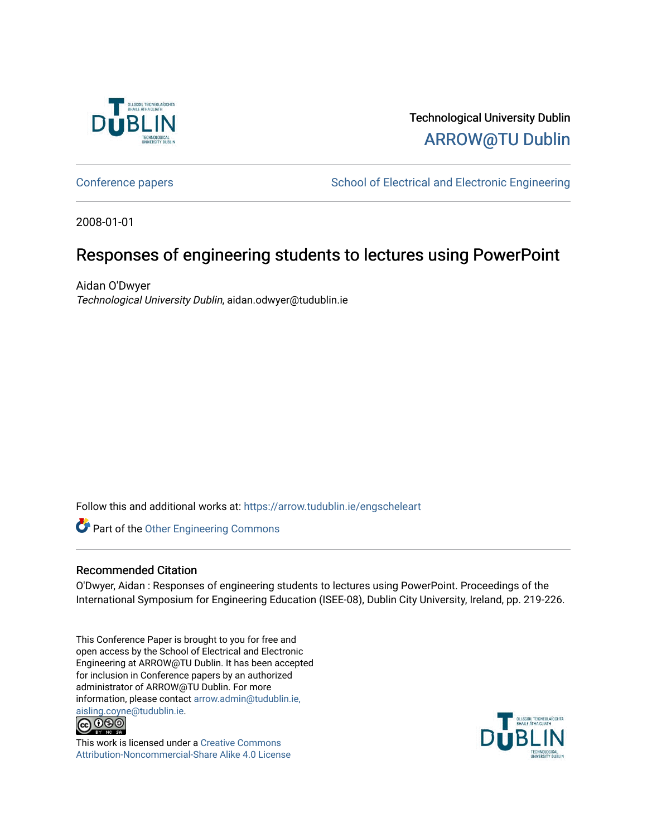

Technological University Dublin [ARROW@TU Dublin](https://arrow.tudublin.ie/) 

[Conference papers](https://arrow.tudublin.ie/engscheleart) **School of Electrical and Electronic Engineering** 

2008-01-01

# Responses of engineering students to lectures using PowerPoint

Aidan O'Dwyer Technological University Dublin, aidan.odwyer@tudublin.ie

Follow this and additional works at: [https://arrow.tudublin.ie/engscheleart](https://arrow.tudublin.ie/engscheleart?utm_source=arrow.tudublin.ie%2Fengscheleart%2F7&utm_medium=PDF&utm_campaign=PDFCoverPages) 

Part of the [Other Engineering Commons](http://network.bepress.com/hgg/discipline/315?utm_source=arrow.tudublin.ie%2Fengscheleart%2F7&utm_medium=PDF&utm_campaign=PDFCoverPages) 

## Recommended Citation

O'Dwyer, Aidan : Responses of engineering students to lectures using PowerPoint. Proceedings of the International Symposium for Engineering Education (ISEE-08), Dublin City University, Ireland, pp. 219-226.

This Conference Paper is brought to you for free and open access by the School of Electrical and Electronic Engineering at ARROW@TU Dublin. It has been accepted for inclusion in Conference papers by an authorized administrator of ARROW@TU Dublin. For more information, please contact [arrow.admin@tudublin.ie,](mailto:arrow.admin@tudublin.ie,%20aisling.coyne@tudublin.ie)  [aisling.coyne@tudublin.ie.](mailto:arrow.admin@tudublin.ie,%20aisling.coyne@tudublin.ie)<br>© 090



This work is licensed under a [Creative Commons](http://creativecommons.org/licenses/by-nc-sa/4.0/) [Attribution-Noncommercial-Share Alike 4.0 License](http://creativecommons.org/licenses/by-nc-sa/4.0/)

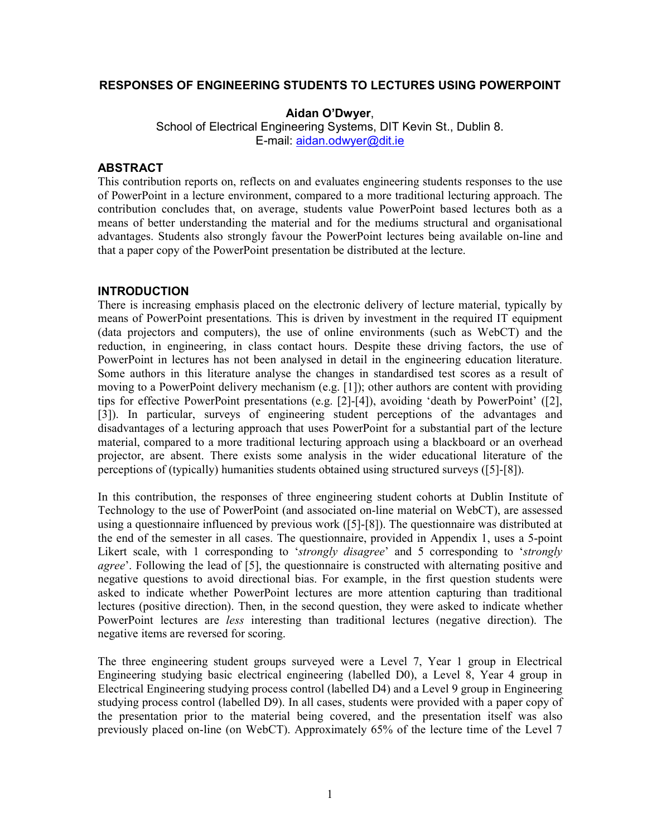## **RESPONSES OF ENGINEERING STUDENTS TO LECTURES USING POWERPOINT**

**Aidan O'Dwyer**,

School of Electrical Engineering Systems, DIT Kevin St., Dublin 8. E-mail: aidan.odwyer@dit.ie

#### **ABSTRACT**

This contribution reports on, reflects on and evaluates engineering students responses to the use of PowerPoint in a lecture environment, compared to a more traditional lecturing approach. The contribution concludes that, on average, students value PowerPoint based lectures both as a means of better understanding the material and for the mediums structural and organisational advantages. Students also strongly favour the PowerPoint lectures being available on-line and that a paper copy of the PowerPoint presentation be distributed at the lecture.

#### **INTRODUCTION**

There is increasing emphasis placed on the electronic delivery of lecture material, typically by means of PowerPoint presentations. This is driven by investment in the required IT equipment (data projectors and computers), the use of online environments (such as WebCT) and the reduction, in engineering, in class contact hours. Despite these driving factors, the use of PowerPoint in lectures has not been analysed in detail in the engineering education literature. Some authors in this literature analyse the changes in standardised test scores as a result of moving to a PowerPoint delivery mechanism (e.g. [1]); other authors are content with providing tips for effective PowerPoint presentations (e.g. [2]-[4]), avoiding 'death by PowerPoint' ([2], [3]). In particular, surveys of engineering student perceptions of the advantages and disadvantages of a lecturing approach that uses PowerPoint for a substantial part of the lecture material, compared to a more traditional lecturing approach using a blackboard or an overhead projector, are absent. There exists some analysis in the wider educational literature of the perceptions of (typically) humanities students obtained using structured surveys ([5]-[8]).

In this contribution, the responses of three engineering student cohorts at Dublin Institute of Technology to the use of PowerPoint (and associated on-line material on WebCT), are assessed using a questionnaire influenced by previous work ([5]-[8]). The questionnaire was distributed at the end of the semester in all cases. The questionnaire, provided in Appendix 1, uses a 5-point Likert scale, with 1 corresponding to '*strongly disagree*' and 5 corresponding to '*strongly agree*'. Following the lead of [5], the questionnaire is constructed with alternating positive and negative questions to avoid directional bias. For example, in the first question students were asked to indicate whether PowerPoint lectures are more attention capturing than traditional lectures (positive direction). Then, in the second question, they were asked to indicate whether PowerPoint lectures are *less* interesting than traditional lectures (negative direction). The negative items are reversed for scoring.

The three engineering student groups surveyed were a Level 7, Year 1 group in Electrical Engineering studying basic electrical engineering (labelled D0), a Level 8, Year 4 group in Electrical Engineering studying process control (labelled D4) and a Level 9 group in Engineering studying process control (labelled D9). In all cases, students were provided with a paper copy of the presentation prior to the material being covered, and the presentation itself was also previously placed on-line (on WebCT). Approximately 65% of the lecture time of the Level 7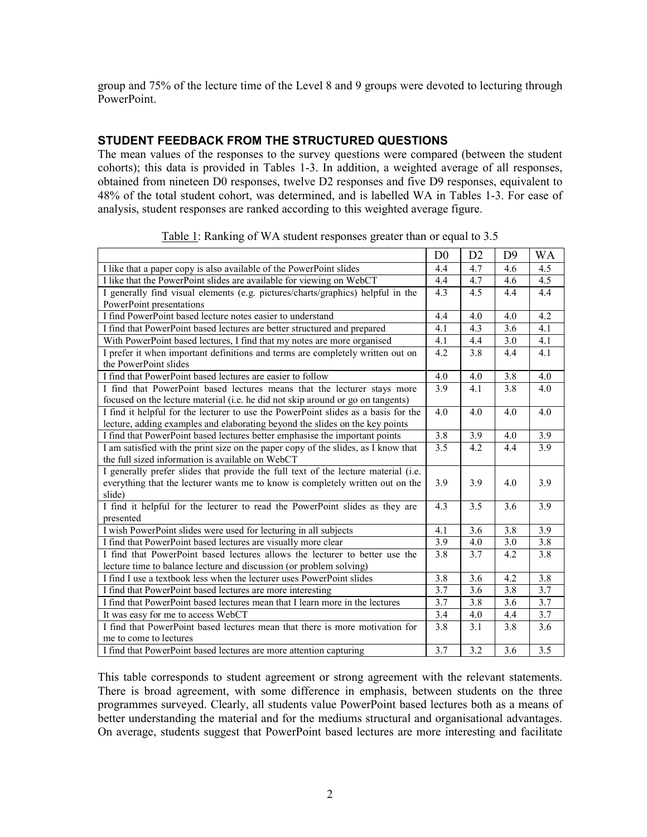group and 75% of the lecture time of the Level 8 and 9 groups were devoted to lecturing through PowerPoint.

#### **STUDENT FEEDBACK FROM THE STRUCTURED QUESTIONS**

The mean values of the responses to the survey questions were compared (between the student cohorts); this data is provided in Tables 1-3. In addition, a weighted average of all responses, obtained from nineteen D0 responses, twelve D2 responses and five D9 responses, equivalent to 48% of the total student cohort, was determined, and is labelled WA in Tables 1-3. For ease of analysis, student responses are ranked according to this weighted average figure.

|                                                                                                         | D <sub>0</sub>   | D2               | D <sup>9</sup>   | <b>WA</b>        |
|---------------------------------------------------------------------------------------------------------|------------------|------------------|------------------|------------------|
| I like that a paper copy is also available of the PowerPoint slides                                     | 4.4              | 4.7              | 4.6              | 4.5              |
| I like that the PowerPoint slides are available for viewing on WebCT                                    | 4.4              | 4.7              | 4.6              | 4.5              |
| I generally find visual elements (e.g. pictures/charts/graphics) helpful in the                         | 4.3              | $\overline{4.5}$ | 4.4              | 4.4              |
| PowerPoint presentations                                                                                |                  |                  |                  |                  |
| I find PowerPoint based lecture notes easier to understand                                              | 4.4              | 4.0              | 4.0              | 4.2              |
| I find that PowerPoint based lectures are better structured and prepared                                | 4.1              | 4.3              | 3.6              | 4.1              |
| With PowerPoint based lectures, I find that my notes are more organised                                 | 4.1              | 4.4              | 3.0              | 4.1              |
| I prefer it when important definitions and terms are completely written out on<br>the PowerPoint slides | 4.2              | 3.8              | 4.4              | 4.1              |
| I find that PowerPoint based lectures are easier to follow                                              | $\overline{4.0}$ | 4.0              | $\overline{3.8}$ | $\overline{4.0}$ |
| I find that PowerPoint based lectures means that the lecturer stays more                                | 3.9              | 4.1              | 3.8              | 4.0              |
| focused on the lecture material (i.e. he did not skip around or go on tangents)                         |                  |                  |                  |                  |
| I find it helpful for the lecturer to use the PowerPoint slides as a basis for the                      | 4.0              | 4.0              | 4.0              | 4.0              |
| lecture, adding examples and elaborating beyond the slides on the key points                            |                  |                  |                  |                  |
| I find that PowerPoint based lectures better emphasise the important points                             | 3.8              | 3.9              | 4.0              | 3.9              |
| I am satisfied with the print size on the paper copy of the slides, as I know that                      | 3.5              | 4.2              | 4.4              | 3.9              |
| the full sized information is available on WebCT                                                        |                  |                  |                  |                  |
| I generally prefer slides that provide the full text of the lecture material (i.e.                      |                  |                  |                  |                  |
| everything that the lecturer wants me to know is completely written out on the                          | 3.9              | 3.9              | 4.0              | 3.9              |
| slide)                                                                                                  |                  |                  |                  |                  |
| I find it helpful for the lecturer to read the PowerPoint slides as they are                            | 4.3              | 3.5              | 3.6              | 3.9              |
| presented                                                                                               |                  |                  |                  |                  |
| I wish PowerPoint slides were used for lecturing in all subjects                                        | 4.1              | 3.6              | 3.8              | $\overline{3.9}$ |
| I find that PowerPoint based lectures are visually more clear                                           | 3.9              | 4.0              | 3.0              | $\overline{3.8}$ |
| I find that PowerPoint based lectures allows the lecturer to better use the                             | 3.8              | 3.7              | 4.2              | 3.8              |
| lecture time to balance lecture and discussion (or problem solving)                                     |                  |                  |                  |                  |
| I find I use a textbook less when the lecturer uses PowerPoint slides                                   | 3.8              | 3.6              | 4.2              | 3.8              |
| I find that PowerPoint based lectures are more interesting                                              | 3.7              | 3.6              | 3.8              | $\overline{3.7}$ |
| I find that PowerPoint based lectures mean that I learn more in the lectures                            | 3.7              | 3.8              | 3.6              | 3.7              |
| It was easy for me to access WebCT                                                                      | 3.4              | 4.0              | 4.4              | 3.7              |
| I find that PowerPoint based lectures mean that there is more motivation for                            | 3.8              | 3.1              | 3.8              | 3.6              |
| me to come to lectures                                                                                  |                  |                  |                  |                  |
| I find that PowerPoint based lectures are more attention capturing                                      | 3.7              | 3.2              | 3.6              | 3.5              |

Table 1: Ranking of WA student responses greater than or equal to 3.5

This table corresponds to student agreement or strong agreement with the relevant statements. There is broad agreement, with some difference in emphasis, between students on the three programmes surveyed. Clearly, all students value PowerPoint based lectures both as a means of better understanding the material and for the mediums structural and organisational advantages. On average, students suggest that PowerPoint based lectures are more interesting and facilitate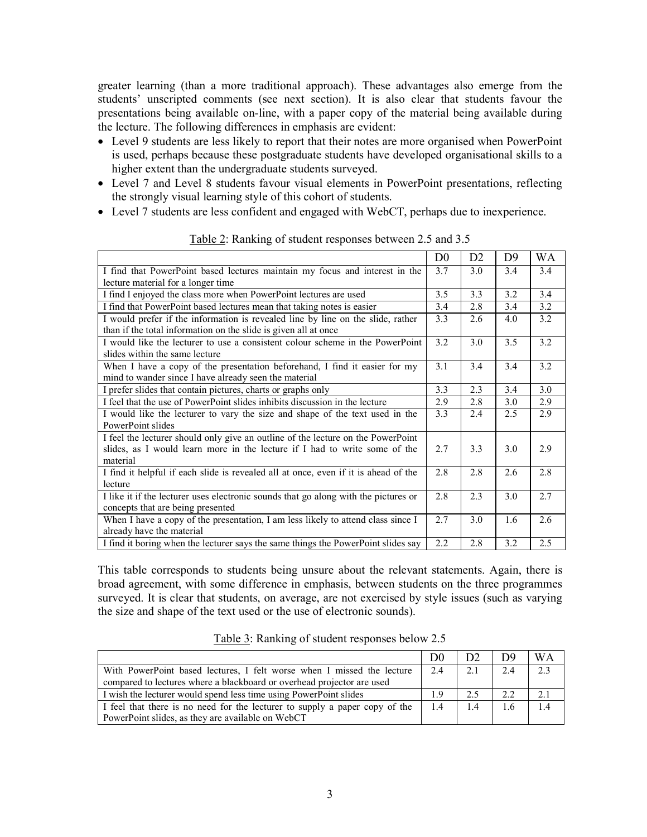greater learning (than a more traditional approach). These advantages also emerge from the students' unscripted comments (see next section). It is also clear that students favour the presentations being available on-line, with a paper copy of the material being available during the lecture. The following differences in emphasis are evident:

- Level 9 students are less likely to report that their notes are more organised when PowerPoint is used, perhaps because these postgraduate students have developed organisational skills to a higher extent than the undergraduate students surveyed.
- Level 7 and Level 8 students favour visual elements in PowerPoint presentations, reflecting the strongly visual learning style of this cohort of students.
- Level 7 students are less confident and engaged with WebCT, perhaps due to inexperience.

|                                                                                     | D <sub>0</sub> | D2  | D <sup>9</sup> | WA  |
|-------------------------------------------------------------------------------------|----------------|-----|----------------|-----|
| I find that PowerPoint based lectures maintain my focus and interest in the         | 3.7            | 3.0 | 3.4            | 3.4 |
| lecture material for a longer time                                                  |                |     |                |     |
| I find I enjoyed the class more when PowerPoint lectures are used                   | 3.5            | 3.3 | 3.2            | 3.4 |
| I find that PowerPoint based lectures mean that taking notes is easier              | 3.4            | 2.8 | 3.4            | 3.2 |
| I would prefer if the information is revealed line by line on the slide, rather     | 3.3            | 2.6 | 4.0            | 3.2 |
| than if the total information on the slide is given all at once                     |                |     |                |     |
| I would like the lecturer to use a consistent colour scheme in the PowerPoint       | 3.2            | 3.0 | 3.5            | 3.2 |
| slides within the same lecture                                                      |                |     |                |     |
| When I have a copy of the presentation beforehand, I find it easier for my          | 3.1            | 3.4 | 3.4            | 3.2 |
| mind to wander since I have already seen the material                               |                |     |                |     |
| I prefer slides that contain pictures, charts or graphs only                        | 3.3            | 2.3 | 3.4            | 3.0 |
| I feel that the use of PowerPoint slides inhibits discussion in the lecture         | 2.9            | 2.8 | 3.0            | 2.9 |
| I would like the lecturer to vary the size and shape of the text used in the        | 3.3            | 2.4 | 2.5            | 2.9 |
| PowerPoint slides                                                                   |                |     |                |     |
| I feel the lecturer should only give an outline of the lecture on the PowerPoint    |                |     |                |     |
| slides, as I would learn more in the lecture if I had to write some of the          | 2.7            | 3.3 | 3.0            | 2.9 |
| material                                                                            |                |     |                |     |
| I find it helpful if each slide is revealed all at once, even if it is ahead of the | 2.8            | 2.8 | 2.6            | 2.8 |
| lecture                                                                             |                |     |                |     |
| I like it if the lecturer uses electronic sounds that go along with the pictures or | 2.8            | 2.3 | 3.0            | 2.7 |
| concepts that are being presented                                                   |                |     |                |     |
| When I have a copy of the presentation, I am less likely to attend class since I    | 2.7            | 3.0 | 1.6            | 2.6 |
| already have the material                                                           |                |     |                |     |
| I find it boring when the lecturer says the same things the PowerPoint slides say   | 2.2            | 2.8 | 3.2            | 2.5 |

Table 2: Ranking of student responses between 2.5 and 3.5

This table corresponds to students being unsure about the relevant statements. Again, there is broad agreement, with some difference in emphasis, between students on the three programmes surveyed. It is clear that students, on average, are not exercised by style issues (such as varying the size and shape of the text used or the use of electronic sounds).

| Table 3: Ranking of student responses below 2.5 |  |  |
|-------------------------------------------------|--|--|
|                                                 |  |  |

|                                                                             | D0  | D2  | D9  | WΑ  |
|-----------------------------------------------------------------------------|-----|-----|-----|-----|
| With PowerPoint based lectures, I felt worse when I missed the lecture      | 2.4 | 2.1 | 2.4 | 2.3 |
| compared to lectures where a blackboard or overhead projector are used      |     |     |     |     |
| I wish the lecturer would spend less time using PowerPoint slides           | 19  | 25  | 22  | 21  |
| I feel that there is no need for the lecturer to supply a paper copy of the | 1.4 | 1.4 | 1.6 | 14  |
| PowerPoint slides, as they are available on WebCT                           |     |     |     |     |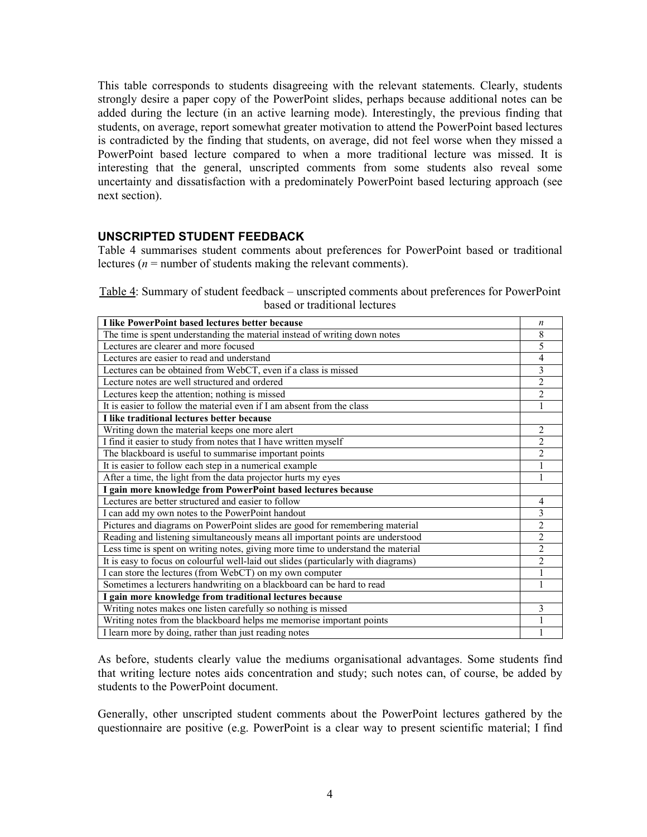This table corresponds to students disagreeing with the relevant statements. Clearly, students strongly desire a paper copy of the PowerPoint slides, perhaps because additional notes can be added during the lecture (in an active learning mode). Interestingly, the previous finding that students, on average, report somewhat greater motivation to attend the PowerPoint based lectures is contradicted by the finding that students, on average, did not feel worse when they missed a PowerPoint based lecture compared to when a more traditional lecture was missed. It is interesting that the general, unscripted comments from some students also reveal some uncertainty and dissatisfaction with a predominately PowerPoint based lecturing approach (see next section).

#### **UNSCRIPTED STUDENT FEEDBACK**

Table 4 summarises student comments about preferences for PowerPoint based or traditional lectures ( $n =$  number of students making the relevant comments).

Table 4: Summary of student feedback – unscripted comments about preferences for PowerPoint based or traditional lectures

| I like PowerPoint based lectures better because                                    | $\boldsymbol{n}$ |
|------------------------------------------------------------------------------------|------------------|
| The time is spent understanding the material instead of writing down notes         | 8                |
| Lectures are clearer and more focused                                              | 5                |
| Lectures are easier to read and understand                                         | 4                |
| Lectures can be obtained from WebCT, even if a class is missed                     | 3                |
| Lecture notes are well structured and ordered                                      | $\overline{c}$   |
| Lectures keep the attention; nothing is missed                                     | $\overline{c}$   |
| It is easier to follow the material even if I am absent from the class             | 1                |
| I like traditional lectures better because                                         |                  |
| Writing down the material keeps one more alert                                     | 2                |
| I find it easier to study from notes that I have written myself                    | $\overline{c}$   |
| The blackboard is useful to summarise important points                             | $\overline{2}$   |
| It is easier to follow each step in a numerical example                            |                  |
| After a time, the light from the data projector hurts my eyes                      |                  |
| I gain more knowledge from PowerPoint based lectures because                       |                  |
| Lectures are better structured and easier to follow                                | 4                |
| I can add my own notes to the PowerPoint handout                                   | 3                |
| Pictures and diagrams on PowerPoint slides are good for remembering material       | $\overline{2}$   |
| Reading and listening simultaneously means all important points are understood     | $\overline{2}$   |
| Less time is spent on writing notes, giving more time to understand the material   | $\overline{2}$   |
| It is easy to focus on colourful well-laid out slides (particularly with diagrams) | $\overline{2}$   |
| I can store the lectures (from WebCT) on my own computer                           |                  |
| Sometimes a lecturers handwriting on a blackboard can be hard to read              |                  |
| I gain more knowledge from traditional lectures because                            |                  |
| Writing notes makes one listen carefully so nothing is missed                      | 3                |
| Writing notes from the blackboard helps me memorise important points               |                  |
| I learn more by doing, rather than just reading notes                              |                  |

As before, students clearly value the mediums organisational advantages. Some students find that writing lecture notes aids concentration and study; such notes can, of course, be added by students to the PowerPoint document.

Generally, other unscripted student comments about the PowerPoint lectures gathered by the questionnaire are positive (e.g. PowerPoint is a clear way to present scientific material; I find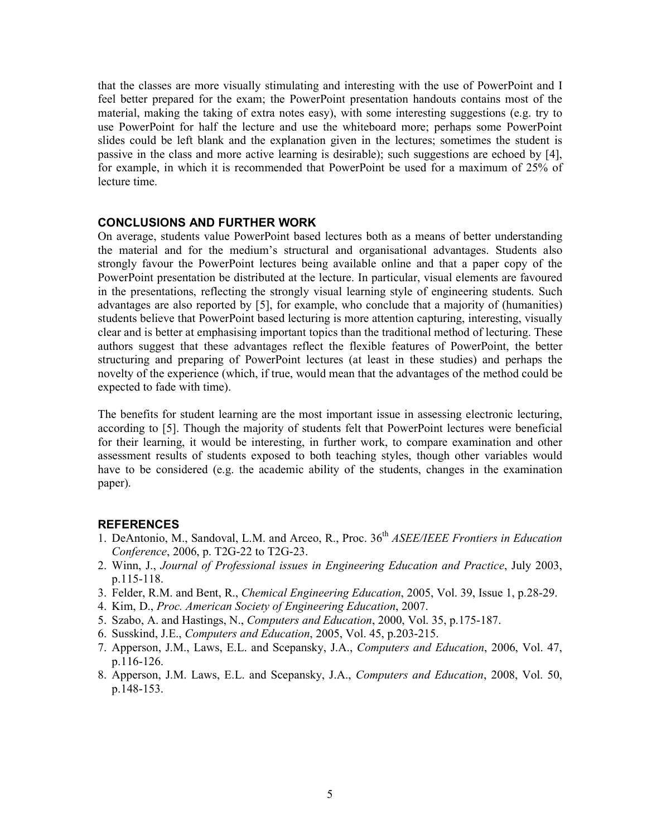that the classes are more visually stimulating and interesting with the use of PowerPoint and I feel better prepared for the exam; the PowerPoint presentation handouts contains most of the material, making the taking of extra notes easy), with some interesting suggestions (e.g. try to use PowerPoint for half the lecture and use the whiteboard more; perhaps some PowerPoint slides could be left blank and the explanation given in the lectures; sometimes the student is passive in the class and more active learning is desirable); such suggestions are echoed by [4], for example, in which it is recommended that PowerPoint be used for a maximum of 25% of lecture time.

#### **CONCLUSIONS AND FURTHER WORK**

On average, students value PowerPoint based lectures both as a means of better understanding the material and for the medium's structural and organisational advantages. Students also strongly favour the PowerPoint lectures being available online and that a paper copy of the PowerPoint presentation be distributed at the lecture. In particular, visual elements are favoured in the presentations, reflecting the strongly visual learning style of engineering students. Such advantages are also reported by [5], for example, who conclude that a majority of (humanities) students believe that PowerPoint based lecturing is more attention capturing, interesting, visually clear and is better at emphasising important topics than the traditional method of lecturing. These authors suggest that these advantages reflect the flexible features of PowerPoint, the better structuring and preparing of PowerPoint lectures (at least in these studies) and perhaps the novelty of the experience (which, if true, would mean that the advantages of the method could be expected to fade with time).

The benefits for student learning are the most important issue in assessing electronic lecturing, according to [5]. Though the majority of students felt that PowerPoint lectures were beneficial for their learning, it would be interesting, in further work, to compare examination and other assessment results of students exposed to both teaching styles, though other variables would have to be considered (e.g. the academic ability of the students, changes in the examination paper).

#### **REFERENCES**

- 1. DeAntonio, M., Sandoval, L.M. and Arceo, R., Proc. 36<sup>th</sup> *ASEE/IEEE Frontiers in Education Conference*, 2006, p. T2G-22 to T2G-23.
- 2. Winn, J., *Journal of Professional issues in Engineering Education and Practice*, July 2003, p.115-118.
- 3. Felder, R.M. and Bent, R., *Chemical Engineering Education*, 2005, Vol. 39, Issue 1, p.28-29.
- 4. Kim, D., *Proc. American Society of Engineering Education*, 2007.
- 5. Szabo, A. and Hastings, N., *Computers and Education*, 2000, Vol. 35, p.175-187.
- 6. Susskind, J.E., *Computers and Education*, 2005, Vol. 45, p.203-215.
- 7. Apperson, J.M., Laws, E.L. and Scepansky, J.A., *Computers and Education*, 2006, Vol. 47, p.116-126.
- 8. Apperson, J.M. Laws, E.L. and Scepansky, J.A., *Computers and Education*, 2008, Vol. 50, p.148-153.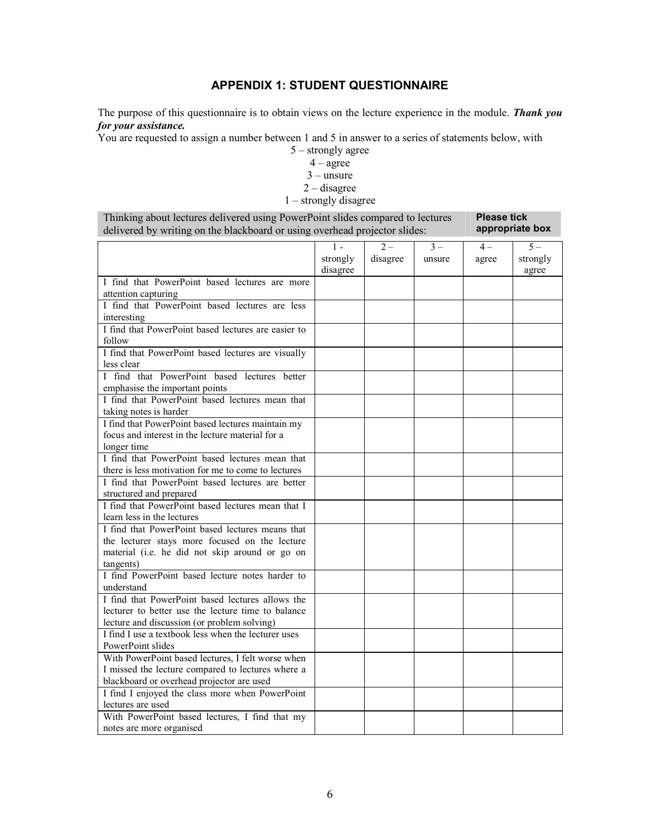## **APPENDIX 1: STUDENT QUESTIONNAIRE**

The purpose of this questionnaire is to obtain views on the lecture experience in the module. *Thank you for your assistance.* 

You are requested to assign a number between 1 and 5 in answer to a series of statements below, with

5 – strongly agree

4 – agree

 $3 -$ unsure

2 – disagree

## 1 – strongly disagree

| Thinking about lectures delivered using PowerPoint slides compared to lectures | <b>Please tick</b> |
|--------------------------------------------------------------------------------|--------------------|
| delivered by writing on the blackboard or using overhead projector slides:     | appropriate box    |

|                                                     | $1 -$    | $2-$     | $3 -$  | $4-$  | $5-$     |
|-----------------------------------------------------|----------|----------|--------|-------|----------|
|                                                     | strongly | disagree | unsure | agree | strongly |
|                                                     | disagree |          |        |       | agree    |
| I find that PowerPoint based lectures are more      |          |          |        |       |          |
| attention capturing                                 |          |          |        |       |          |
| I find that PowerPoint based lectures are less      |          |          |        |       |          |
| interesting                                         |          |          |        |       |          |
| I find that PowerPoint based lectures are easier to |          |          |        |       |          |
| follow                                              |          |          |        |       |          |
| I find that PowerPoint based lectures are visually  |          |          |        |       |          |
| less clear                                          |          |          |        |       |          |
| I find that PowerPoint based lectures better        |          |          |        |       |          |
| emphasise the important points                      |          |          |        |       |          |
| I find that PowerPoint based lectures mean that     |          |          |        |       |          |
| taking notes is harder                              |          |          |        |       |          |
| I find that PowerPoint based lectures maintain my   |          |          |        |       |          |
| focus and interest in the lecture material for a    |          |          |        |       |          |
| longer time                                         |          |          |        |       |          |
| I find that PowerPoint based lectures mean that     |          |          |        |       |          |
| there is less motivation for me to come to lectures |          |          |        |       |          |
| I find that PowerPoint based lectures are better    |          |          |        |       |          |
| structured and prepared                             |          |          |        |       |          |
| I find that PowerPoint based lectures mean that I   |          |          |        |       |          |
| learn less in the lectures                          |          |          |        |       |          |
| I find that PowerPoint based lectures means that    |          |          |        |       |          |
| the lecturer stays more focused on the lecture      |          |          |        |       |          |
| material (i.e. he did not skip around or go on      |          |          |        |       |          |
| tangents)                                           |          |          |        |       |          |
| I find PowerPoint based lecture notes harder to     |          |          |        |       |          |
| understand                                          |          |          |        |       |          |
| I find that PowerPoint based lectures allows the    |          |          |        |       |          |
| lecturer to better use the lecture time to balance  |          |          |        |       |          |
| lecture and discussion (or problem solving)         |          |          |        |       |          |
| I find I use a textbook less when the lecturer uses |          |          |        |       |          |
| PowerPoint slides                                   |          |          |        |       |          |
| With PowerPoint based lectures, I felt worse when   |          |          |        |       |          |
| I missed the lecture compared to lectures where a   |          |          |        |       |          |
| blackboard or overhead projector are used           |          |          |        |       |          |
| I find I enjoyed the class more when PowerPoint     |          |          |        |       |          |
| lectures are used                                   |          |          |        |       |          |
| With PowerPoint based lectures, I find that my      |          |          |        |       |          |
| notes are more organised                            |          |          |        |       |          |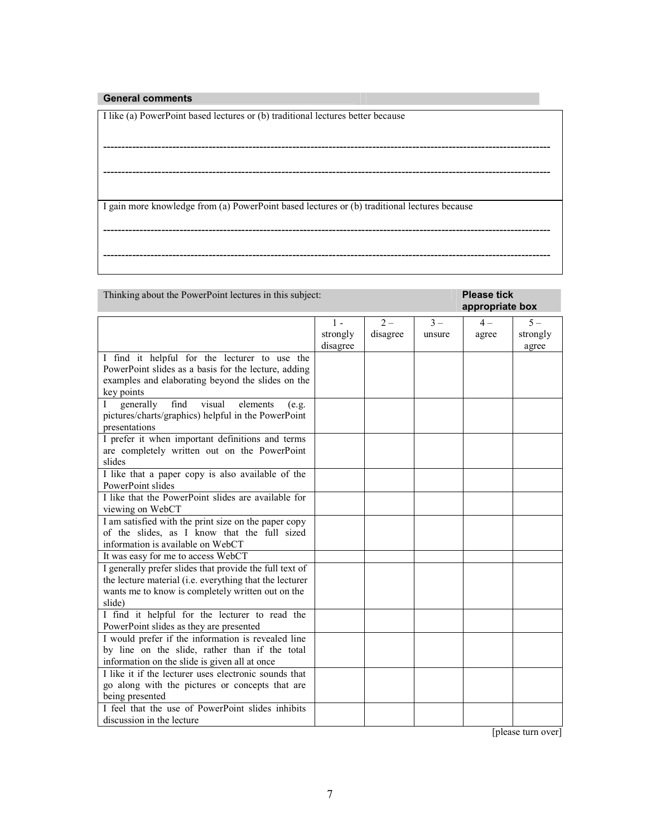#### **General comments**

I like (a) PowerPoint based lectures or (b) traditional lectures better because

I gain more knowledge from (a) PowerPoint based lectures or (b) traditional lectures because

---------------------------------------------------------------------------------------------------------------------------

---------------------------------------------------------------------------------------------------------------------------

---------------------------------------------------------------------------------------------------------------------------

Thinking about the PowerPoint lectures in this subject: **Please tick** 

## **appropriate box**

|                                                                                                        | $1 -$    | $2 -$    | $3 -$  | $4-$  | $5 -$    |
|--------------------------------------------------------------------------------------------------------|----------|----------|--------|-------|----------|
|                                                                                                        | strongly | disagree | unsure | agree | strongly |
|                                                                                                        | disagree |          |        |       | agree    |
| I find it helpful for the lecturer to use the                                                          |          |          |        |       |          |
| PowerPoint slides as a basis for the lecture, adding                                                   |          |          |        |       |          |
| examples and elaborating beyond the slides on the                                                      |          |          |        |       |          |
| key points                                                                                             |          |          |        |       |          |
| visual<br>find<br>generally<br>elements<br>L                                                           |          |          |        |       |          |
| (e.g.                                                                                                  |          |          |        |       |          |
| pictures/charts/graphics) helpful in the PowerPoint<br>presentations                                   |          |          |        |       |          |
|                                                                                                        |          |          |        |       |          |
| I prefer it when important definitions and terms                                                       |          |          |        |       |          |
| are completely written out on the PowerPoint                                                           |          |          |        |       |          |
| slides                                                                                                 |          |          |        |       |          |
| I like that a paper copy is also available of the                                                      |          |          |        |       |          |
| PowerPoint slides                                                                                      |          |          |        |       |          |
| I like that the PowerPoint slides are available for                                                    |          |          |        |       |          |
| viewing on WebCT                                                                                       |          |          |        |       |          |
| I am satisfied with the print size on the paper copy                                                   |          |          |        |       |          |
| of the slides, as I know that the full sized                                                           |          |          |        |       |          |
| information is available on WebCT                                                                      |          |          |        |       |          |
| It was easy for me to access WebCT                                                                     |          |          |        |       |          |
| I generally prefer slides that provide the full text of                                                |          |          |        |       |          |
| the lecture material (i.e. everything that the lecturer                                                |          |          |        |       |          |
| wants me to know is completely written out on the                                                      |          |          |        |       |          |
| slide)                                                                                                 |          |          |        |       |          |
| I find it helpful for the lecturer to read the                                                         |          |          |        |       |          |
| PowerPoint slides as they are presented                                                                |          |          |        |       |          |
| I would prefer if the information is revealed line                                                     |          |          |        |       |          |
| by line on the slide, rather than if the total                                                         |          |          |        |       |          |
|                                                                                                        |          |          |        |       |          |
| information on the slide is given all at once<br>I like it if the lecturer uses electronic sounds that |          |          |        |       |          |
|                                                                                                        |          |          |        |       |          |
| go along with the pictures or concepts that are                                                        |          |          |        |       |          |
| being presented                                                                                        |          |          |        |       |          |
| I feel that the use of PowerPoint slides inhibits                                                      |          |          |        |       |          |
| discussion in the lecture                                                                              |          |          |        |       |          |

[please turn over]